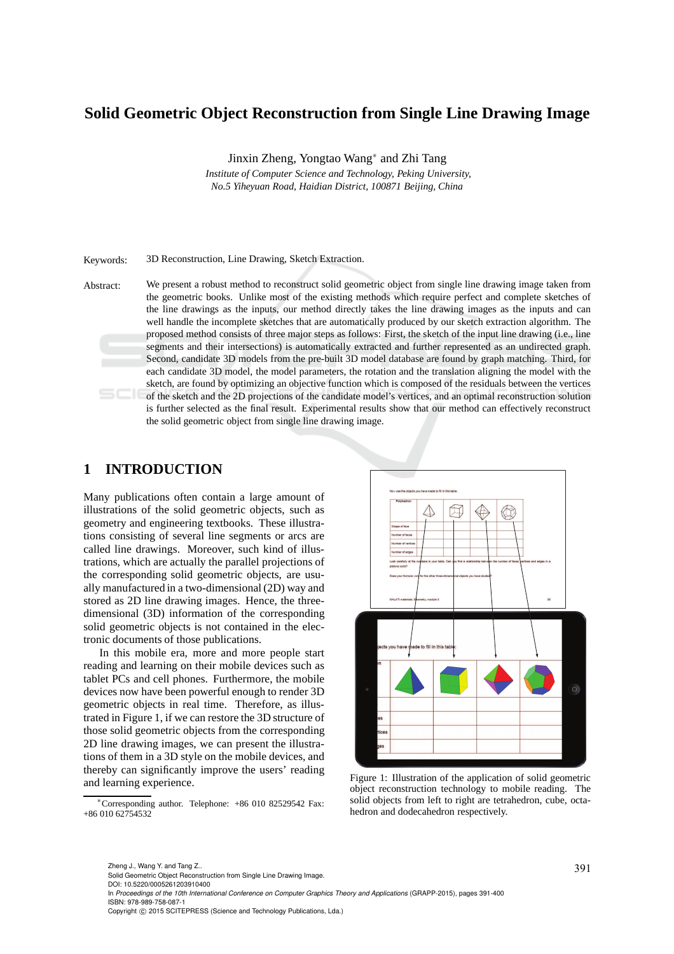## **Solid Geometric Object Reconstruction from Single Line Drawing Image**

Jinxin Zheng, Yongtao Wang<sup>∗</sup> and Zhi Tang

*Institute of Computer Science and Technology, Peking University, No.5 Yiheyuan Road, Haidian District, 100871 Beijing, China*

Keywords: 3D Reconstruction, Line Drawing, Sketch Extraction.

Abstract: We present a robust method to reconstruct solid geometric object from single line drawing image taken from the geometric books. Unlike most of the existing methods which require perfect and complete sketches of the line drawings as the inputs, our method directly takes the line drawing images as the inputs and can well handle the incomplete sketches that are automatically produced by our sketch extraction algorithm. The proposed method consists of three major steps as follows: First, the sketch of the input line drawing (i.e., line segments and their intersections) is automatically extracted and further represented as an undirected graph. Second, candidate 3D models from the pre-built 3D model database are found by graph matching. Third, for each candidate 3D model, the model parameters, the rotation and the translation aligning the model with the sketch, are found by optimizing an objective function which is composed of the residuals between the vertices of the sketch and the 2D projections of the candidate model's vertices, and an optimal reconstruction solution is further selected as the final result. Experimental results show that our method can effectively reconstruct the solid geometric object from single line drawing image.

### **1 INTRODUCTION**

Many publications often contain a large amount of illustrations of the solid geometric objects, such as geometry and engineering textbooks. These illustrations consisting of several line segments or arcs are called line drawings. Moreover, such kind of illustrations, which are actually the parallel projections of the corresponding solid geometric objects, are usually manufactured in a two-dimensional (2D) way and stored as 2D line drawing images. Hence, the threedimensional (3D) information of the corresponding solid geometric objects is not contained in the electronic documents of those publications.

In this mobile era, more and more people start reading and learning on their mobile devices such as tablet PCs and cell phones. Furthermore, the mobile devices now have been powerful enough to render 3D geometric objects in real time. Therefore, as illustrated in Figure 1, if we can restore the 3D structure of those solid geometric objects from the corresponding 2D line drawing images, we can present the illustrations of them in a 3D style on the mobile devices, and thereby can significantly improve the users' reading and learning experience.

<sup>∗</sup>Corresponding author. Telephone: +86 010 82529542 Fax: +86 010 62754532



Figure 1: Illustration of the application of solid geometric object reconstruction technology to mobile reading. The solid objects from left to right are tetrahedron, cube, octahedron and dodecahedron respectively.

391 Zheng J., Wang Y. and Tang Z.. Solid Geometric Object Reconstruction from Single Line Drawing Image.

DOI: 10.5220/0005261203910400

In *Proceedings of the 10th International Conference on Computer Graphics Theory and Applications* (GRAPP-2015), pages 391-400 ISBN: 978-989-758-087-1

Copyright © 2015 SCITEPRESS (Science and Technology Publications, Lda.)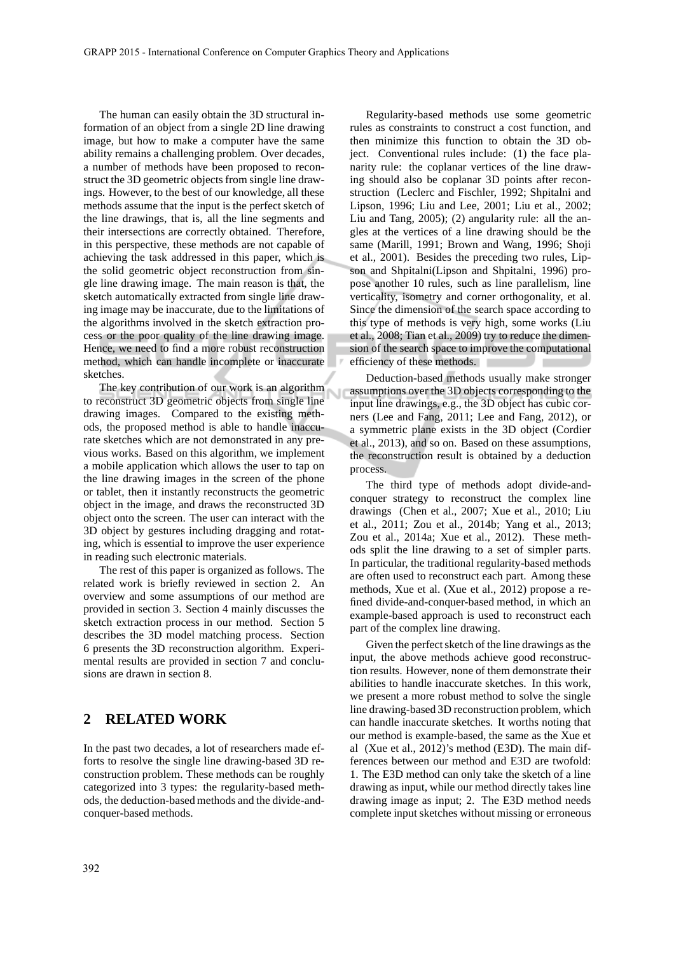The human can easily obtain the 3D structural information of an object from a single 2D line drawing image, but how to make a computer have the same ability remains a challenging problem. Over decades, a number of methods have been proposed to reconstruct the 3D geometric objects from single line drawings. However, to the best of our knowledge, all these methods assume that the input is the perfect sketch of the line drawings, that is, all the line segments and their intersections are correctly obtained. Therefore, in this perspective, these methods are not capable of achieving the task addressed in this paper, which is the solid geometric object reconstruction from single line drawing image. The main reason is that, the sketch automatically extracted from single line drawing image may be inaccurate, due to the limitations of the algorithms involved in the sketch extraction process or the poor quality of the line drawing image. Hence, we need to find a more robust reconstruction method, which can handle incomplete or inaccurate sketches.

The key contribution of our work is an algorithm to reconstruct 3D geometric objects from single line drawing images. Compared to the existing methods, the proposed method is able to handle inaccurate sketches which are not demonstrated in any previous works. Based on this algorithm, we implement a mobile application which allows the user to tap on the line drawing images in the screen of the phone or tablet, then it instantly reconstructs the geometric object in the image, and draws the reconstructed 3D object onto the screen. The user can interact with the 3D object by gestures including dragging and rotating, which is essential to improve the user experience in reading such electronic materials.

The rest of this paper is organized as follows. The related work is briefly reviewed in section 2. An overview and some assumptions of our method are provided in section 3. Section 4 mainly discusses the sketch extraction process in our method. Section 5 describes the 3D model matching process. Section 6 presents the 3D reconstruction algorithm. Experimental results are provided in section 7 and conclusions are drawn in section 8.

### **2 RELATED WORK**

In the past two decades, a lot of researchers made efforts to resolve the single line drawing-based 3D reconstruction problem. These methods can be roughly categorized into 3 types: the regularity-based methods, the deduction-based methods and the divide-andconquer-based methods.

Regularity-based methods use some geometric rules as constraints to construct a cost function, and then minimize this function to obtain the 3D object. Conventional rules include: (1) the face planarity rule: the coplanar vertices of the line drawing should also be coplanar 3D points after reconstruction (Leclerc and Fischler, 1992; Shpitalni and Lipson, 1996; Liu and Lee, 2001; Liu et al., 2002; Liu and Tang, 2005); (2) angularity rule: all the angles at the vertices of a line drawing should be the same (Marill, 1991; Brown and Wang, 1996; Shoji et al., 2001). Besides the preceding two rules, Lipson and Shpitalni(Lipson and Shpitalni, 1996) propose another 10 rules, such as line parallelism, line verticality, isometry and corner orthogonality, et al. Since the dimension of the search space according to this type of methods is very high, some works (Liu et al., 2008; Tian et al., 2009) try to reduce the dimension of the search space to improve the computational efficiency of these methods.

Deduction-based methods usually make stronger assumptions over the 3D objects corresponding to the input line drawings, e.g., the 3D object has cubic corners (Lee and Fang, 2011; Lee and Fang, 2012), or a symmetric plane exists in the 3D object (Cordier et al., 2013), and so on. Based on these assumptions, the reconstruction result is obtained by a deduction process.

The third type of methods adopt divide-andconquer strategy to reconstruct the complex line drawings (Chen et al., 2007; Xue et al., 2010; Liu et al., 2011; Zou et al., 2014b; Yang et al., 2013; Zou et al., 2014a; Xue et al., 2012). These methods split the line drawing to a set of simpler parts. In particular, the traditional regularity-based methods are often used to reconstruct each part. Among these methods, Xue et al. (Xue et al., 2012) propose a refined divide-and-conquer-based method, in which an example-based approach is used to reconstruct each part of the complex line drawing.

Given the perfect sketch of the line drawings as the input, the above methods achieve good reconstruction results. However, none of them demonstrate their abilities to handle inaccurate sketches. In this work, we present a more robust method to solve the single line drawing-based 3D reconstruction problem, which can handle inaccurate sketches. It worths noting that our method is example-based, the same as the Xue et al (Xue et al., 2012)'s method (E3D). The main differences between our method and E3D are twofold: 1. The E3D method can only take the sketch of a line drawing as input, while our method directly takes line drawing image as input; 2. The E3D method needs complete input sketches without missing or erroneous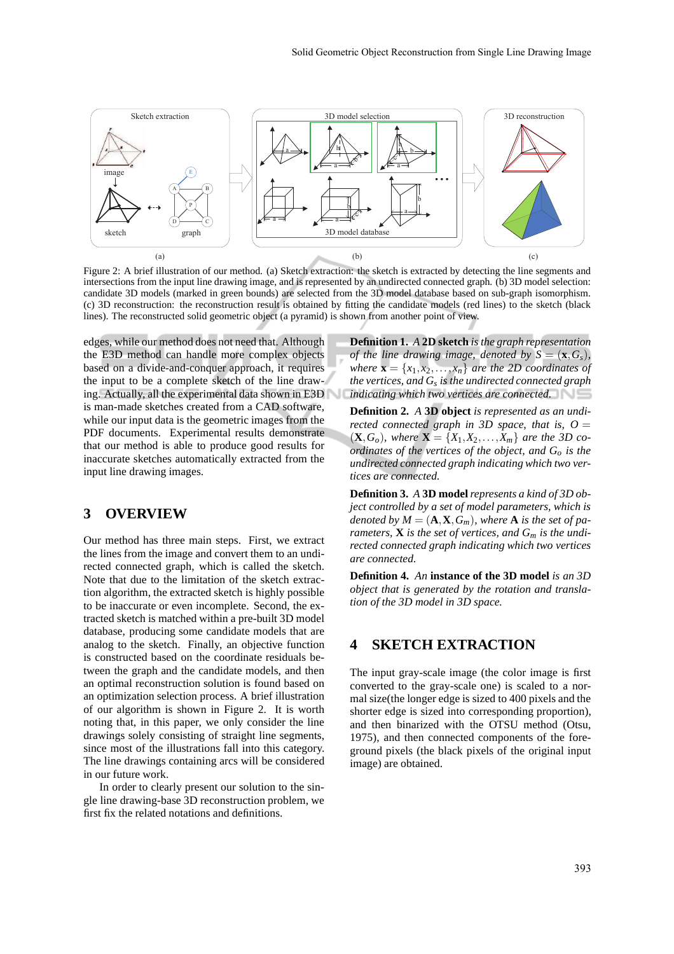

Figure 2: A brief illustration of our method. (a) Sketch extraction: the sketch is extracted by detecting the line segments and intersections from the input line drawing image, and is represented by an undirected connected graph. (b) 3D model selection: candidate 3D models (marked in green bounds) are selected from the 3D model database based on sub-graph isomorphism. (c) 3D reconstruction: the reconstruction result is obtained by fitting the candidate models (red lines) to the sketch (black lines). The reconstructed solid geometric object (a pyramid) is shown from another point of view.

edges, while our method does not need that. Although the E3D method can handle more complex objects based on a divide-and-conquer approach, it requires the input to be a complete sketch of the line drawing. Actually, all the experimental data shown in E3D is man-made sketches created from a CAD software, while our input data is the geometric images from the PDF documents. Experimental results demonstrate that our method is able to produce good results for inaccurate sketches automatically extracted from the input line drawing images.

### **3 OVERVIEW**

Our method has three main steps. First, we extract the lines from the image and convert them to an undirected connected graph, which is called the sketch. Note that due to the limitation of the sketch extraction algorithm, the extracted sketch is highly possible to be inaccurate or even incomplete. Second, the extracted sketch is matched within a pre-built 3D model database, producing some candidate models that are analog to the sketch. Finally, an objective function is constructed based on the coordinate residuals between the graph and the candidate models, and then an optimal reconstruction solution is found based on an optimization selection process. A brief illustration of our algorithm is shown in Figure 2. It is worth noting that, in this paper, we only consider the line drawings solely consisting of straight line segments, since most of the illustrations fall into this category. The line drawings containing arcs will be considered in our future work.

In order to clearly present our solution to the single line drawing-base 3D reconstruction problem, we first fix the related notations and definitions.

**Definition 1.** *A* **2D sketch** *is the graph representation of the line drawing image, denoted by*  $S = (\mathbf{x}, G_s)$ *, where*  $\mathbf{x} = \{x_1, x_2, \dots, x_n\}$  *are the 2D coordinates of the vertices, and G<sup>s</sup> is the undirected connected graph indicating which two vertices are connected.*

**Definition 2.** *A* **3D object** *is represented as an undirected connected graph in 3D space, that is,*  $O =$  $({\bf X}, G_o)$ , where  ${\bf X} = \{X_1, X_2, \ldots, X_m\}$  are the 3D co*ordinates of the vertices of the object, and G<sup>o</sup> is the undirected connected graph indicating which two vertices are connected.*

**Definition 3.** *A* **3D model***represents a kind of 3D object controlled by a set of model parameters, which is denoted by*  $M = (\mathbf{A}, \mathbf{X}, G_m)$ *, where* **A** *is the set of parameters,* **X** *is the set of vertices, and G<sup>m</sup> is the undirected connected graph indicating which two vertices are connected.*

**Definition 4.** *An* **instance of the 3D model** *is an 3D object that is generated by the rotation and translation of the 3D model in 3D space.*

### **4 SKETCH EXTRACTION**

The input gray-scale image (the color image is first converted to the gray-scale one) is scaled to a normal size(the longer edge is sized to 400 pixels and the shorter edge is sized into corresponding proportion), and then binarized with the OTSU method (Otsu, 1975), and then connected components of the foreground pixels (the black pixels of the original input image) are obtained.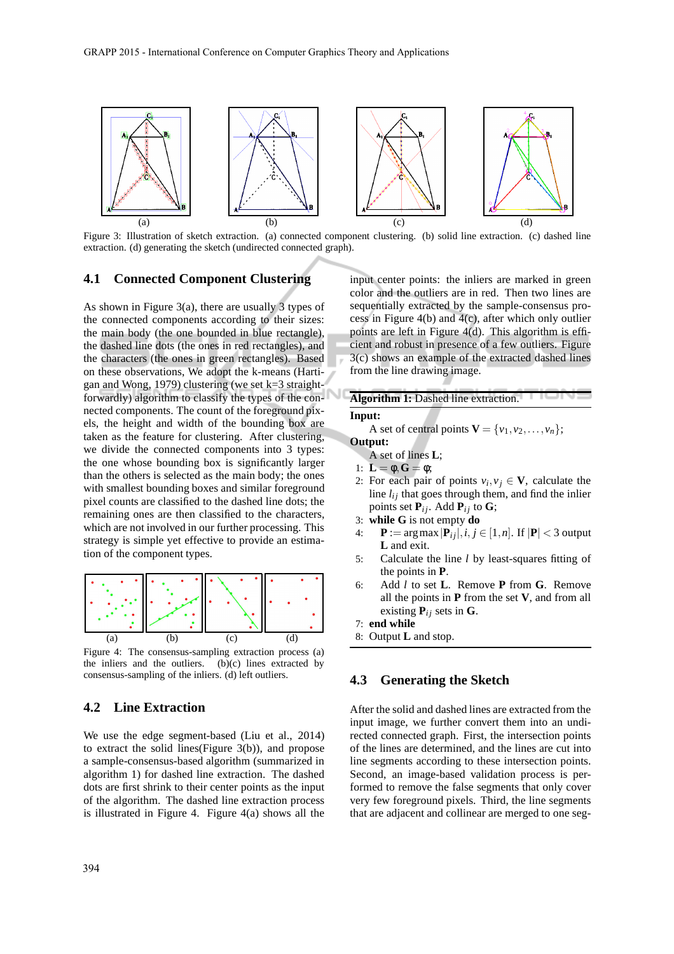

Figure 3: Illustration of sketch extraction. (a) connected component clustering. (b) solid line extraction. (c) dashed line extraction. (d) generating the sketch (undirected connected graph).

#### **4.1 Connected Component Clustering**

As shown in Figure 3(a), there are usually 3 types of the connected components according to their sizes: the main body (the one bounded in blue rectangle), the dashed line dots (the ones in red rectangles), and the characters (the ones in green rectangles). Based on these observations, We adopt the k-means (Hartigan and Wong, 1979) clustering (we set k=3 straightforwardly) algorithm to classify the types of the connected components. The count of the foreground pixels, the height and width of the bounding box are taken as the feature for clustering. After clustering, we divide the connected components into 3 types: the one whose bounding box is significantly larger than the others is selected as the main body; the ones with smallest bounding boxes and similar foreground pixel counts are classified to the dashed line dots; the remaining ones are then classified to the characters, which are not involved in our further processing. This strategy is simple yet effective to provide an estimation of the component types.



Figure 4: The consensus-sampling extraction process (a) the inliers and the outliers. (b)(c) lines extracted by consensus-sampling of the inliers. (d) left outliers.

### **4.2 Line Extraction**

We use the edge segment-based (Liu et al., 2014) to extract the solid lines(Figure 3(b)), and propose a sample-consensus-based algorithm (summarized in algorithm 1) for dashed line extraction. The dashed dots are first shrink to their center points as the input of the algorithm. The dashed line extraction process is illustrated in Figure 4. Figure 4(a) shows all the input center points: the inliers are marked in green color and the outliers are in red. Then two lines are sequentially extracted by the sample-consensus process in Figure 4(b) and 4(c), after which only outlier points are left in Figure 4(d). This algorithm is efficient and robust in presence of a few outliers. Figure 3(c) shows an example of the extracted dashed lines from the line drawing image.

### **Algorithm 1:** Dashed line extraction.

#### **Input:**

A set of central points  $\mathbf{V} = \{v_1, v_2, \dots, v_n\};$ 

**Output:**

A set of lines **L**;

- 1:  $\mathbf{L} = \phi, \mathbf{G} = \phi;$
- 2: For each pair of points  $v_i, v_j \in V$ , calculate the line  $l_{ij}$  that goes through them, and find the inlier points set  $P_{ij}$ . Add  $P_{ij}$  to G;
- 3: **while G** is not empty **do**
- 4:  $\mathbf{P} := \arg \max |\mathbf{P}_{ij}|, i, j \in [1, n]$ . If  $|\mathbf{P}| < 3$  output **L** and exit.
- 5: Calculate the line *l* by least-squares fitting of the points in **P**.
- 6: Add *l* to set **L**. Remove **P** from **G**. Remove all the points in **P** from the set **V**, and from all existing  $P_{ij}$  sets in G.
- 7: **end while**
- 8: Output **L** and stop.

#### **4.3 Generating the Sketch**

After the solid and dashed lines are extracted from the input image, we further convert them into an undirected connected graph. First, the intersection points of the lines are determined, and the lines are cut into line segments according to these intersection points. Second, an image-based validation process is performed to remove the false segments that only cover very few foreground pixels. Third, the line segments that are adjacent and collinear are merged to one seg-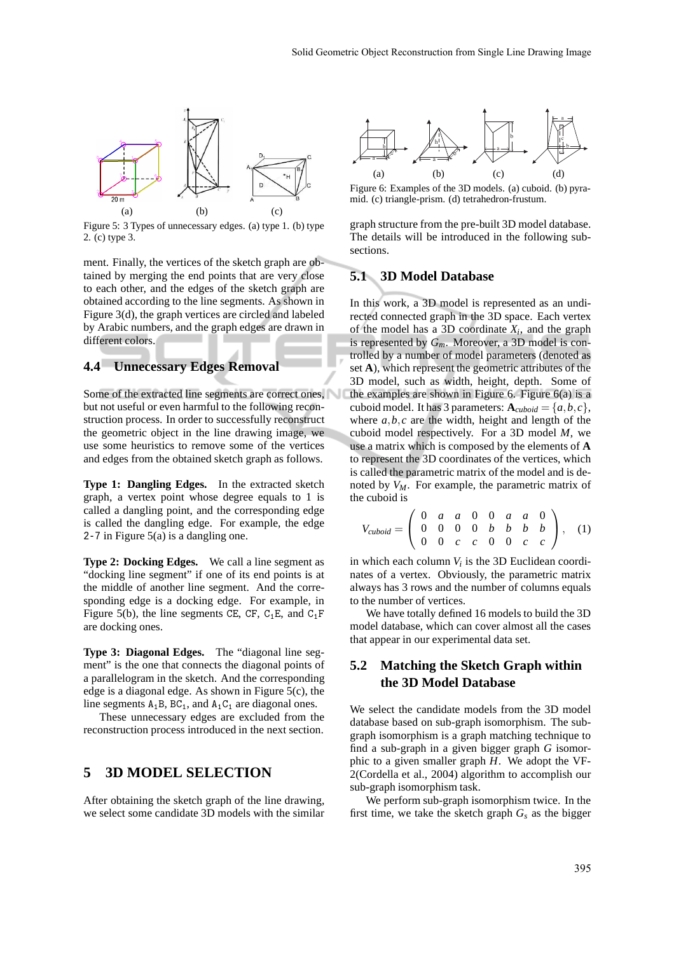

Figure 5: 3 Types of unnecessary edges. (a) type 1. (b) type 2. (c) type 3.

ment. Finally, the vertices of the sketch graph are obtained by merging the end points that are very close to each other, and the edges of the sketch graph are obtained according to the line segments. As shown in Figure 3(d), the graph vertices are circled and labeled by Arabic numbers, and the graph edges are drawn in different colors.

### **4.4 Unnecessary Edges Removal**

Some of the extracted line segments are correct ones, but not useful or even harmful to the following reconstruction process. In order to successfully reconstruct the geometric object in the line drawing image, we use some heuristics to remove some of the vertices and edges from the obtained sketch graph as follows.

**Type 1: Dangling Edges.** In the extracted sketch graph, a vertex point whose degree equals to 1 is called a dangling point, and the corresponding edge is called the dangling edge. For example, the edge  $2-7$  in Figure  $5(a)$  is a dangling one.

**Type 2: Docking Edges.** We call a line segment as "docking line segment" if one of its end points is at the middle of another line segment. And the corresponding edge is a docking edge. For example, in Figure 5(b), the line segments CE, CF,  $C_1E$ , and  $C_1F$ are docking ones.

**Type 3: Diagonal Edges.** The "diagonal line segment" is the one that connects the diagonal points of a parallelogram in the sketch. And the corresponding edge is a diagonal edge. As shown in Figure 5(c), the line segments  $A_1B$ ,  $BC_1$ , and  $A_1C_1$  are diagonal ones.

These unnecessary edges are excluded from the reconstruction process introduced in the next section.

### **5 3D MODEL SELECTION**

After obtaining the sketch graph of the line drawing, we select some candidate 3D models with the similar



Figure 6: Examples of the 3D models. (a) cuboid. (b) pyramid. (c) triangle-prism. (d) tetrahedron-frustum.

graph structure from the pre-built 3D model database. The details will be introduced in the following subsections.

#### **5.1 3D Model Database**

In this work, a 3D model is represented as an undirected connected graph in the 3D space. Each vertex of the model has a 3D coordinate  $X_i$ , and the graph is represented by  $G_m$ . Moreover, a 3D model is controlled by a number of model parameters (denoted as set **A**), which represent the geometric attributes of the 3D model, such as width, height, depth. Some of the examples are shown in Figure 6. Figure  $6(a)$  is a cuboid model. It has 3 parameters:  $\mathbf{A}_{\text{cuboid}} = \{a, b, c\},\$ where  $a, b, c$  are the width, height and length of the cuboid model respectively. For a 3D model *M*, we use a matrix which is composed by the elements of **A** to represent the 3D coordinates of the vertices, which is called the parametric matrix of the model and is denoted by *VM*. For example, the parametric matrix of the cuboid is

$$
V_{cuboid} = \begin{pmatrix} 0 & a & a & 0 & 0 & a & a & 0 \\ 0 & 0 & 0 & 0 & b & b & b & b \\ 0 & 0 & c & c & 0 & 0 & c & c \end{pmatrix}, (1)
$$

in which each column *V<sup>i</sup>* is the 3D Euclidean coordinates of a vertex. Obviously, the parametric matrix always has 3 rows and the number of columns equals to the number of vertices.

We have totally defined 16 models to build the 3D model database, which can cover almost all the cases that appear in our experimental data set.

### **5.2 Matching the Sketch Graph within the 3D Model Database**

We select the candidate models from the 3D model database based on sub-graph isomorphism. The subgraph isomorphism is a graph matching technique to find a sub-graph in a given bigger graph *G* isomorphic to a given smaller graph *H*. We adopt the VF-2(Cordella et al., 2004) algorithm to accomplish our sub-graph isomorphism task.

We perform sub-graph isomorphism twice. In the first time, we take the sketch graph  $G_s$  as the bigger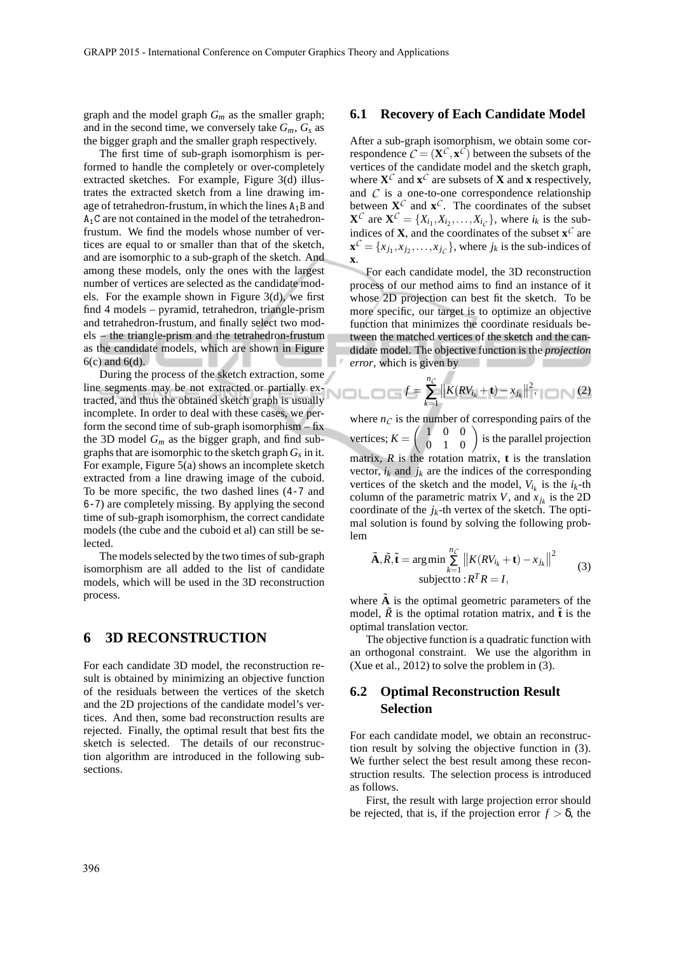graph and the model graph *G<sup>m</sup>* as the smaller graph; and in the second time, we conversely take  $G_m$ ,  $G_s$  as the bigger graph and the smaller graph respectively.

The first time of sub-graph isomorphism is performed to handle the completely or over-completely extracted sketches. For example, Figure 3(d) illustrates the extracted sketch from a line drawing image of tetrahedron-frustum, in which the lines  $A_1B$  and A1C are not contained in the model of the tetrahedronfrustum. We find the models whose number of vertices are equal to or smaller than that of the sketch, and are isomorphic to a sub-graph of the sketch. And among these models, only the ones with the largest number of vertices are selected as the candidate models. For the example shown in Figure 3(d), we first find 4 models – pyramid, tetrahedron, triangle-prism and tetrahedron-frustum, and finally select two models – the triangle-prism and the tetrahedron-frustum as the candidate models, which are shown in Figure  $6(c)$  and  $6(d)$ .

During the process of the sketch extraction, some Lutting the process of  $m$ -<br>line segments may be not extracted or partially extracted, and thus the obtained sketch graph is usually incomplete. In order to deal with these cases, we perform the second time of sub-graph isomorphism – fix the 3D model  $G_m$  as the bigger graph, and find subgraphs that are isomorphic to the sketch graph *G<sup>s</sup>* in it. For example, Figure 5(a) shows an incomplete sketch extracted from a line drawing image of the cuboid. To be more specific, the two dashed lines (4-7 and 6-7) are completely missing. By applying the second time of sub-graph isomorphism, the correct candidate models (the cube and the cuboid et al) can still be selected.

The models selected by the two times of sub-graph isomorphism are all added to the list of candidate models, which will be used in the 3D reconstruction process.

### **6 3D RECONSTRUCTION**

For each candidate 3D model, the reconstruction result is obtained by minimizing an objective function of the residuals between the vertices of the sketch and the 2D projections of the candidate model's vertices. And then, some bad reconstruction results are rejected. Finally, the optimal result that best fits the sketch is selected. The details of our reconstruction algorithm are introduced in the following subsections.

#### **6.1 Recovery of Each Candidate Model**

After a sub-graph isomorphism, we obtain some correspondence  $\vec{C} = (\mathbf{X}^C, \mathbf{x}^C)$  between the subsets of the vertices of the candidate model and the sketch graph, where  $X^C$  and  $x^C$  are subsets of X and x respectively, and  $C$  is a one-to-one correspondence relationship between  $X^C$  and  $X^C$ . The coordinates of the subset  $\mathbf{X}^C$  are  $\mathbf{X}^C = \{X_{i_1}, X_{i_2}, \dots, X_{i_C}\}$ , where  $i_k$  is the subindices of **X**, and the coordinates of the subset  $\mathbf{x}^C$  are  $\mathbf{x}^C = \{x_{j_1}, x_{j_2}, \dots, x_{j_C}\}$ , where  $j_k$  is the sub-indices of **x**.

For each candidate model, the 3D reconstruction process of our method aims to find an instance of it whose 2D projection can best fit the sketch. To be more specific, our target is to optimize an objective function that minimizes the coordinate residuals between the matched vertices of the sketch and the candidate model. The objective function is the *projection error*, which is given by

$$
f = \sum_{k=1}^{n_C} ||K(RV_{i_k} + \mathbf{t}) - x_{j_k}||^2, \quad (2)
$$

where  $n<sub>C</sub>$  is the number of corresponding pairs of the vertices;  $K = \begin{pmatrix} 1 & 0 & 0 \\ 0 & 1 & 0 \end{pmatrix}$  is the parallel projection matrix, *R* is the rotation matrix, **t** is the translation vector,  $i_k$  and  $j_k$  are the indices of the corresponding vertices of the sketch and the model,  $V_{i_k}$  is the  $i_k$ -th column of the parametric matrix *V*, and  $x_{j_k}$  is the 2D coordinate of the  $j_k$ -th vertex of the sketch. The optimal solution is found by solving the following problem

$$
\tilde{\mathbf{A}}, \tilde{\mathbf{R}}, \tilde{\mathbf{t}} = \arg\min_{k=1}^{n_C} \left\| K(RV_{i_k} + \mathbf{t}) - x_{j_k} \right\|^2
$$
\n
$$
\text{subject to} : R^T R = I,
$$
\n
$$
(3)
$$

where  $\tilde{A}$  is the optimal geometric parameters of the model,  $\tilde{R}$  is the optimal rotation matrix, and  $\tilde{t}$  is the optimal translation vector.

The objective function is a quadratic function with an orthogonal constraint. We use the algorithm in (Xue et al., 2012) to solve the problem in (3).

### **6.2 Optimal Reconstruction Result Selection**

For each candidate model, we obtain an reconstruction result by solving the objective function in (3). We further select the best result among these reconstruction results. The selection process is introduced as follows.

First, the result with large projection error should be rejected, that is, if the projection error  $f > \delta$ , the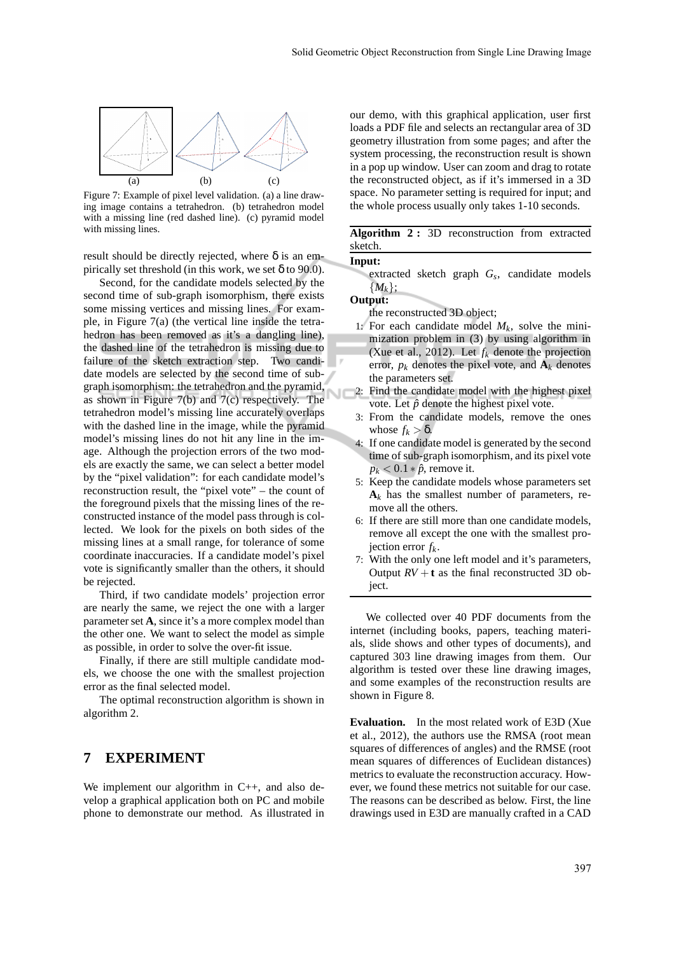

Figure 7: Example of pixel level validation. (a) a line drawing image contains a tetrahedron. (b) tetrahedron model with a missing line (red dashed line). (c) pyramid model with missing lines.

result should be directly rejected, where  $\delta$  is an empirically set threshold (in this work, we set  $\delta$  to 90.0).

Second, for the candidate models selected by the second time of sub-graph isomorphism, there exists some missing vertices and missing lines. For example, in Figure 7(a) (the vertical line inside the tetrahedron has been removed as it's a dangling line), the dashed line of the tetrahedron is missing due to failure of the sketch extraction step. Two candidate models are selected by the second time of subgraph isomorphism: the tetrahedron and the pyramid, as shown in Figure 7(b) and 7(c) respectively. The tetrahedron model's missing line accurately overlaps with the dashed line in the image, while the pyramid model's missing lines do not hit any line in the image. Although the projection errors of the two models are exactly the same, we can select a better model by the "pixel validation": for each candidate model's reconstruction result, the "pixel vote" – the count of the foreground pixels that the missing lines of the reconstructed instance of the model pass through is collected. We look for the pixels on both sides of the missing lines at a small range, for tolerance of some coordinate inaccuracies. If a candidate model's pixel vote is significantly smaller than the others, it should be rejected.

Third, if two candidate models' projection error are nearly the same, we reject the one with a larger parameter set **A**, since it's a more complex model than the other one. We want to select the model as simple as possible, in order to solve the over-fit issue.

Finally, if there are still multiple candidate models, we choose the one with the smallest projection error as the final selected model.

The optimal reconstruction algorithm is shown in algorithm 2.

### **7 EXPERIMENT**

We implement our algorithm in C++, and also develop a graphical application both on PC and mobile phone to demonstrate our method. As illustrated in our demo, with this graphical application, user first loads a PDF file and selects an rectangular area of 3D geometry illustration from some pages; and after the system processing, the reconstruction result is shown in a pop up window. User can zoom and drag to rotate the reconstructed object, as if it's immersed in a 3D space. No parameter setting is required for input; and the whole process usually only takes 1-10 seconds.

**Algorithm 2 :** 3D reconstruction from extracted sketch.

#### **Input:**

extracted sketch graph *G<sup>s</sup>* , candidate models {*Mk*};

#### **Output:**

the reconstructed 3D object;

- 1: For each candidate model  $M_k$ , solve the minimization problem in (3) by using algorithm in (Xue et al., 2012). Let  $f_k$  denote the projection error,  $p_k$  denotes the pixel vote, and  $A_k$  denotes the parameters set.
- 2: Find the candidate model with the highest pixel vote. Let  $\hat{p}$  denote the highest pixel vote.
- 3: From the candidate models, remove the ones whose  $f_k > \delta$ .
- 4: If one candidate model is generated by the second time of sub-graph isomorphism, and its pixel vote  $p_k < 0.1 * \hat{p}$ , remove it.
- 5: Keep the candidate models whose parameters set  $A_k$  has the smallest number of parameters, remove all the others.
- 6: If there are still more than one candidate models, remove all except the one with the smallest projection error *fk*.
- 7: With the only one left model and it's parameters, Output  $RV + t$  as the final reconstructed 3D object.

We collected over 40 PDF documents from the internet (including books, papers, teaching materials, slide shows and other types of documents), and captured 303 line drawing images from them. Our algorithm is tested over these line drawing images, and some examples of the reconstruction results are shown in Figure 8.

**Evaluation.** In the most related work of E3D (Xue et al., 2012), the authors use the RMSA (root mean squares of differences of angles) and the RMSE (root mean squares of differences of Euclidean distances) metrics to evaluate the reconstruction accuracy. However, we found these metrics not suitable for our case. The reasons can be described as below. First, the line drawings used in E3D are manually crafted in a CAD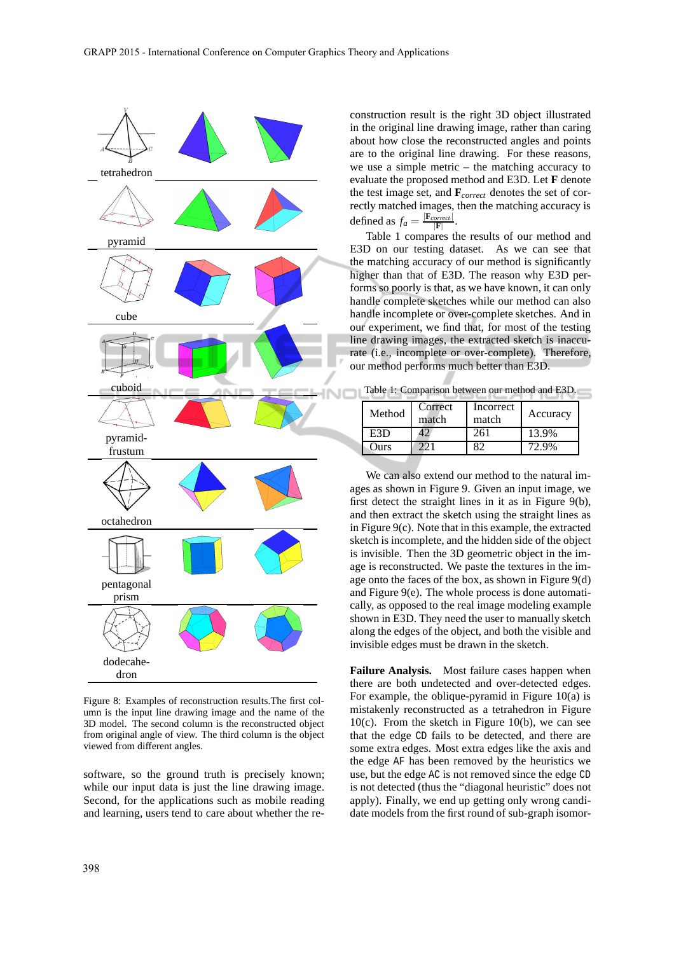

Figure 8: Examples of reconstruction results.The first column is the input line drawing image and the name of the 3D model. The second column is the reconstructed object from original angle of view. The third column is the object viewed from different angles.

software, so the ground truth is precisely known; while our input data is just the line drawing image. Second, for the applications such as mobile reading and learning, users tend to care about whether the reconstruction result is the right 3D object illustrated in the original line drawing image, rather than caring about how close the reconstructed angles and points are to the original line drawing. For these reasons, we use a simple metric – the matching accuracy to evaluate the proposed method and E3D. Let **F** denote the test image set, and **F***correct* denotes the set of correctly matched images, then the matching accuracy is defined as  $f_a = \frac{|\mathbf{F}_{correct}|}{|\mathbf{F}|}$ .

Table 1 compares the results of our method and E3D on our testing dataset. As we can see that the matching accuracy of our method is significantly higher than that of E3D. The reason why E3D performs so poorly is that, as we have known, it can only handle complete sketches while our method can also handle incomplete or over-complete sketches. And in our experiment, we find that, for most of the testing line drawing images, the extracted sketch is inaccurate (i.e., incomplete or over-complete). Therefore, our method performs much better than E3D.

Table 1: Comparison between our method and E3D.

| Method | Correct<br>match | Incorrect<br>match | Accuracy |
|--------|------------------|--------------------|----------|
| E3D    |                  | 261                | 13.9%    |
| Ours   |                  |                    | 72.9%    |

We can also extend our method to the natural images as shown in Figure 9. Given an input image, we first detect the straight lines in it as in Figure 9(b), and then extract the sketch using the straight lines as in Figure 9(c). Note that in this example, the extracted sketch is incomplete, and the hidden side of the object is invisible. Then the 3D geometric object in the image is reconstructed. We paste the textures in the image onto the faces of the box, as shown in Figure 9(d) and Figure 9(e). The whole process is done automatically, as opposed to the real image modeling example shown in E3D. They need the user to manually sketch along the edges of the object, and both the visible and invisible edges must be drawn in the sketch.

**Failure Analysis.** Most failure cases happen when there are both undetected and over-detected edges. For example, the oblique-pyramid in Figure 10(a) is mistakenly reconstructed as a tetrahedron in Figure  $10(c)$ . From the sketch in Figure 10(b), we can see that the edge CD fails to be detected, and there are some extra edges. Most extra edges like the axis and the edge AF has been removed by the heuristics we use, but the edge AC is not removed since the edge CD is not detected (thus the "diagonal heuristic" does not apply). Finally, we end up getting only wrong candidate models from the first round of sub-graph isomor-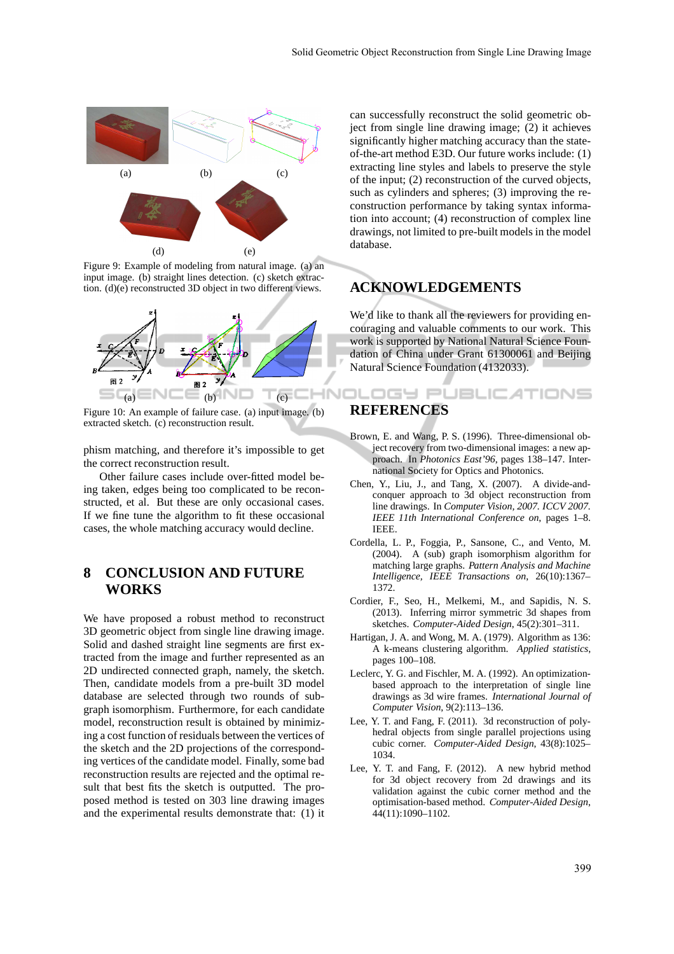

Figure 9: Example of modeling from natural image. (a) an input image. (b) straight lines detection. (c) sketch extraction. (d)(e) reconstructed 3D object in two different views.



Figure 10: An example of failure case. (a) input image. (b) extracted sketch. (c) reconstruction result.

phism matching, and therefore it's impossible to get the correct reconstruction result.

Other failure cases include over-fitted model being taken, edges being too complicated to be reconstructed, et al. But these are only occasional cases. If we fine tune the algorithm to fit these occasional cases, the whole matching accuracy would decline.

### **8 CONCLUSION AND FUTURE WORKS**

We have proposed a robust method to reconstruct 3D geometric object from single line drawing image. Solid and dashed straight line segments are first extracted from the image and further represented as an 2D undirected connected graph, namely, the sketch. Then, candidate models from a pre-built 3D model database are selected through two rounds of subgraph isomorphism. Furthermore, for each candidate model, reconstruction result is obtained by minimizing a cost function of residuals between the vertices of the sketch and the 2D projections of the corresponding vertices of the candidate model. Finally, some bad reconstruction results are rejected and the optimal result that best fits the sketch is outputted. The proposed method is tested on 303 line drawing images and the experimental results demonstrate that: (1) it can successfully reconstruct the solid geometric object from single line drawing image; (2) it achieves significantly higher matching accuracy than the stateof-the-art method E3D. Our future works include: (1) extracting line styles and labels to preserve the style of the input; (2) reconstruction of the curved objects, such as cylinders and spheres; (3) improving the reconstruction performance by taking syntax information into account; (4) reconstruction of complex line drawings, not limited to pre-built models in the model database.

### **ACKNOWLEDGEMENTS**

We'd like to thank all the reviewers for providing encouraging and valuable comments to our work. This work is supported by National Natural Science Foundation of China under Grant 61300061 and Beijing Natural Science Foundation (4132033).

**DLOGY PUBLICATIONS** 

# **REFERENCES**

- Brown, E. and Wang, P. S. (1996). Three-dimensional object recovery from two-dimensional images: a new approach. In *Photonics East'96*, pages 138–147. International Society for Optics and Photonics.
- Chen, Y., Liu, J., and Tang, X. (2007). A divide-andconquer approach to 3d object reconstruction from line drawings. In *Computer Vision, 2007. ICCV 2007. IEEE 11th International Conference on*, pages 1–8. IEEE.
- Cordella, L. P., Foggia, P., Sansone, C., and Vento, M. (2004). A (sub) graph isomorphism algorithm for matching large graphs. *Pattern Analysis and Machine Intelligence, IEEE Transactions on*, 26(10):1367– 1372.
- Cordier, F., Seo, H., Melkemi, M., and Sapidis, N. S. (2013). Inferring mirror symmetric 3d shapes from sketches. *Computer-Aided Design*, 45(2):301–311.
- Hartigan, J. A. and Wong, M. A. (1979). Algorithm as 136: A k-means clustering algorithm. *Applied statistics*, pages 100–108.
- Leclerc, Y. G. and Fischler, M. A. (1992). An optimizationbased approach to the interpretation of single line drawings as 3d wire frames. *International Journal of Computer Vision*, 9(2):113–136.
- Lee, Y. T. and Fang, F. (2011). 3d reconstruction of polyhedral objects from single parallel projections using cubic corner. *Computer-Aided Design*, 43(8):1025– 1034.
- Lee, Y. T. and Fang, F. (2012). A new hybrid method for 3d object recovery from 2d drawings and its validation against the cubic corner method and the optimisation-based method. *Computer-Aided Design*, 44(11):1090–1102.